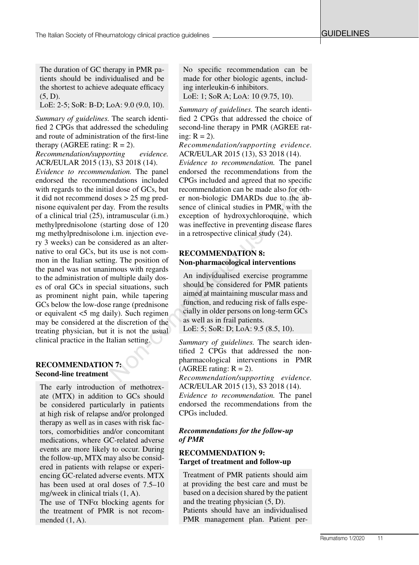The duration of GC therapy in PMR patients should be individualised and be the shortest to achieve adequate efficacy (5, D).

LoE: 2-5; SoR: B-D; LoA: 9.0 (9.0, 10).

*Summary of guidelines.* The search identified 2 CPGs that addressed the scheduling and route of administration of the first-line therapy (AGREE rating:  $R = 2$ ).

*Recommendation/supporting evidence.* ACR/EULAR 2015 (13), S3 2018 (14).

*Evidence to recommendation.* The panel endorsed the recommendations included with regards to the initial dose of GCs, but it did not recommend doses > 25 mg prednisone equivalent per day. From the results of a clinical trial (25), intramuscular (i.m.) methylprednisolone (starting dose of 120 mg methylprednisolone i.m. injection every 3 weeks) can be considered as an alternative to oral GCs, but its use is not common in the Italian setting. The position of the panel was not unanimous with regards to the administration of multiple daily doses of oral GCs in special situations, such as prominent night pain, while tapering GCs below the low-dose range (prednisone or equivalent <5 mg daily). Such regimen may be considered at the discretion of the treating physician, but it is not the usual clinical practice in the Italian setting. al dose of GCs, but<br>
recommendation can be made also for oth-<br>
oses > 25 mg pred-<br>
er non-biologic DMARDs due to the ab-<br>
sence of clinical studies in PMR, with the<br>
ntramuscular (i.m.) exception of hydroxychloroquine, wh

## **RECOMMENDATION 7: Second-line treatment**

The early introduction of methotrexate (MTX) in addition to GCs should be considered particularly in patients at high risk of relapse and/or prolonged therapy as well as in cases with risk factors, comorbidities and/or concomitant medications, where GC-related adverse events are more likely to occur. During the follow-up, MTX may also be considered in patients with relapse or experiencing GC-related adverse events. MTX has been used at oral doses of 7.5–10 mg/week in clinical trials (1, A).

The use of TNF $\alpha$  blocking agents for the treatment of PMR is not recommended (1, A).

No specific recommendation can be made for other biologic agents, including interleukin-6 inhibitors.

LoE: 1; SoR A; LoA: 10 (9.75, 10).

*Summary of guidelines.* The search identified 2 CPGs that addressed the choice of second-line therapy in PMR (AGREE rating:  $R = 2$ ).

*Recommendation/supporting evidence.* ACR/EULAR 2015 (13), S3 2018 (14).

*Evidence to recommendation.* The panel endorsed the recommendations from the CPGs included and agreed that no specific recommendation can be made also for other non-biologic DMARDs due to the absence of clinical studies in PMR, with the exception of hydroxychloroquine, which was ineffective in preventing disease flares in a retrospective clinical study (24).

# **RECOMMENDATION 8: Non-pharmacological interventions**

An individualised exercise programme should be considered for PMR patients aimed at maintaining muscular mass and function, and reducing risk of falls especially in older persons on long-term GCs as well as in frail patients. LoE: 5; SoR: D; LoA: 9.5 (8.5, 10).

*Summary of guidelines.* The search identified 2 CPGs that addressed the nonpharmacological interventions in PMR (AGREE rating:  $R = 2$ ).

*Recommendation/supporting evidence.* ACR/EULAR 2015 (13), S3 2018 (14).

*Evidence to recommendation.* The panel endorsed the recommendations from the CPGs included.

## *Recommendations for the follow-up of PMR*

## **RECOMMENDATION 9: Target of treatment and follow-up**

Treatment of PMR patients should aim at providing the best care and must be based on a decision shared by the patient and the treating physician (5, D). Patients should have an individualised PMR management plan. Patient per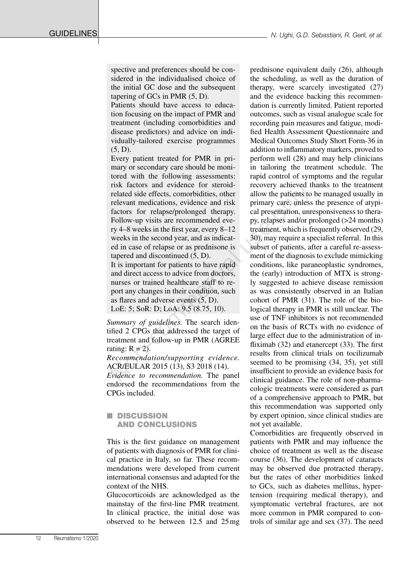spective and preferences should be considered in the individualised choice of the initial GC dose and the subsequent tapering of GCs in PMR (5, D).

Patients should have access to education focusing on the impact of PMR and treatment (including comorbidities and disease predictors) and advice on individually-tailored exercise programmes  $(5, D)$ .

Every patient treated for PMR in primary or secondary care should be monitored with the following assessments: risk factors and evidence for steroidrelated side effects, comorbidities, other relevant medications, evidence and risk factors for relapse/prolonged therapy. Follow-up visits are recommended every 4–8 weeks in the first year, every 8–12 weeks in the second year, and as indicated in case of relapse or as prednisone is tapered and discontinued (5, D).

It is important for patients to have rapid and direct access to advice from doctors, nurses or trained healthcare staff to report any changes in their condition, such as flares and adverse events (5, D). LoE: 5; SoR: D; LoA: 9.5 (8.75, 10).

*Summary of guidelines.* The search identified 2 CPGs that addressed the target of treatment and follow-up in PMR (AGREE rating:  $R = 2$ ).

*Recommendation/supporting evidence.* ACR/EULAR 2015 (13), S3 2018 (14).

*Evidence to recommendation.* The panel endorsed the recommendations from the CPGs included.

## **n** DISCUSSION AND CONCLUSIONS

This is the first guidance on management of patients with diagnosis of PMR for clinical practice in Italy, so far. These recommendations were developed from current international consensus and adapted for the context of the NHS.

Glucocorticoids are acknowledged as the mainstay of the first-line PMR treatment. In clinical practice, the initial dose was observed to be between 12.5 and 25mg

prednisone equivalent daily (26), although the scheduling, as well as the duration of therapy, were scarcely investigated (27) and the evidence backing this recommendation is currently limited. Patient reported outcomes, such as visual analogue scale for recording pain measures and fatigue, modified Health Assessment Questionnaire and Medical Outcomes Study Short Form-36 in addition to inflammatory markers, proved to perform well (28) and may help clinicians in tailoring the treatment schedule. The rapid control of symptoms and the regular recovery achieved thanks to the treatment allow the patients to be managed usually in primary care, unless the presence of atypical presentation, unresponsiveness to therapy, relapses and/or prolonged (>24 months) treatment, which is frequently observed (29, 30), may require a specialist referral. In this subset of patients, after a careful re-assessment of the diagnosis to exclude mimicking conditions, like paraneoplastic syndromes, the (early) introduction of MTX is strongly suggested to achieve disease remission as was consistently observed in an Italian cohort of PMR (31). The role of the biological therapy in PMR is still unclear. The use of TNF inhibitors is not recommended on the basis of RCTs with no evidence of large effect due to the administration of infliximab (32) and etanercept (33). The first results from clinical trials on tocilizumab seemed to be promising (34, 35), yet still insufficient to provide an evidence basis for clinical guidance. The role of non-pharmacologic treatments were considered as part of a comprehensive approach to PMR, but this recommendation was supported only by expert opinion, since clinical studies are not yet available. The actions and evidence to steel and evidence to steel and evidence to steel and evidence and risk primary care, unless factors for relapse/prolonged therapy. cal presentation, unrefollow-up visits are recommended every

> Comorbidities are frequently observed in patients with PMR and may influence the choice of treatment as well as the disease course (36). The development of cataracts may be observed due protracted therapy, but the rates of other morbidities linked to GCs, such as diabetes mellitus, hypertension (requiring medical therapy), and symptomatic vertebral fractures, are not more common in PMR compared to controls of similar age and sex (37). The need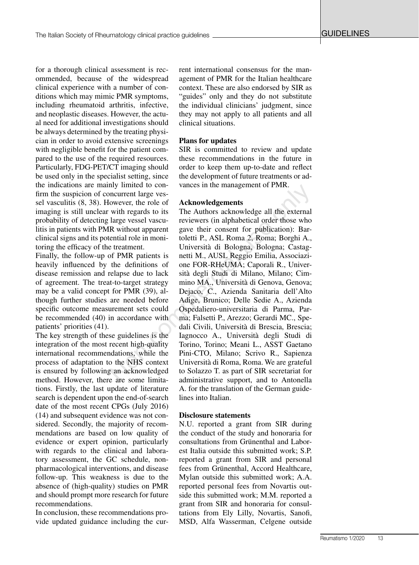for a thorough clinical assessment is recommended, because of the widespread clinical experience with a number of conditions which may mimic PMR symptoms, including rheumatoid arthritis, infective, and neoplastic diseases. However, the actual need for additional investigations should be always determined by the treating physician in order to avoid extensive screenings with negligible benefit for the patient compared to the use of the required resources. Particularly, FDG-PET/CT imaging should be used only in the specialist setting, since the indications are mainly limited to confirm the suspicion of concurrent large vessel vasculitis (8, 38). However, the role of imaging is still unclear with regards to its probability of detecting large vessel vasculitis in patients with PMR without apparent clinical signs and its potential role in monitoring the efficacy of the treatment.

Finally, the follow-up of PMR patients is heavily influenced by the definitions of disease remission and relapse due to lack of agreement. The treat-to-target strategy may be a valid concept for PMR (39), although further studies are needed before specific outcome measurement sets could be recommended (40) in accordance with patients' priorities (41).

The key strength of these guidelines is the integration of the most recent high-quality international recommendations, while the process of adaptation to the NHS context is ensured by following an acknowledged method. However, there are some limitations. Firstly, the last update of literature search is dependent upon the end-of-search date of the most recent CPGs (July 2016) (14) and subsequent evidence was not considered. Secondly, the majority of recommendations are based on low quality of evidence or expert opinion, particularly with regards to the clinical and laboratory assessment, the GC schedule, nonpharmacological interventions, and disease follow-up. This weakness is due to the absence of (high-quality) studies on PMR and should prompt more research for future recommendations.

In conclusion, these recommendations provide updated guidance including the current international consensus for the management of PMR for the Italian healthcare context. These are also endorsed by SIR as "guides" only and they do not substitute the individual clinicians' judgment, since they may not apply to all patients and all clinical situations.

#### **Plans for updates**

SIR is committed to review and update these recommendations in the future in order to keep them up-to-date and reflect the development of future treatments or advances in the management of PMR.

#### **Acknowledgements**

The Authors acknowledge all the external reviewers (in alphabetical order those who gave their consent for publication): Bartoletti P., ASL Roma 2, Roma; Borghi A., Università di Bologna, Bologna; Castagnetti M., AUSL Reggio Emilia, Associazione FOR-RHeUMA; Caporali R., Università degli Studi di Milano, Milano; Cimmino MA., Università di Genova, Genova; Dejaco, C., Azienda Sanitaria dell'Alto Adige, Brunico; Delle Sedie A., Azienda Ospedaliero-universitaria di Parma, Parma; Falsetti P., Arezzo; Gerardi MC., Spedali Civili, Università di Brescia, Brescia; Iagnocco A., Università degli Studi di Torino, Torino; Meani L., ASST Gaetano Pini-CTO, Milano; Scrivo R., Sapienza Università di Roma, Roma. We are grateful to Solazzo T. as part of SIR secretariat for administrative support, and to Antonella A. for the translation of the German guidelines into Italian. my inneut of con-<br>
nocurrent large ves-<br>
nowever, the role of<br> **Acknowledgements**<br>
with regards to its The Authors acknowledge all the external<br>
large vessel vascu-<br>
reviewers (in alphabetical order those who<br>
R without ap

#### **Disclosure statements**

N.U. reported a grant from SIR during the conduct of the study and honoraria for consultations from Grünenthal and Laborest Italia outside this submitted work; S.P. reported a grant from SIR and personal fees from Grünenthal, Accord Healthcare, Mylan outside this submitted work; A.A. reported personal fees from Novartis outside this submitted work; M.M. reported a grant from SIR and honoraria for consultations from Ely Lilly, Novartis, Sanofi, MSD, Alfa Wasserman, Celgene outside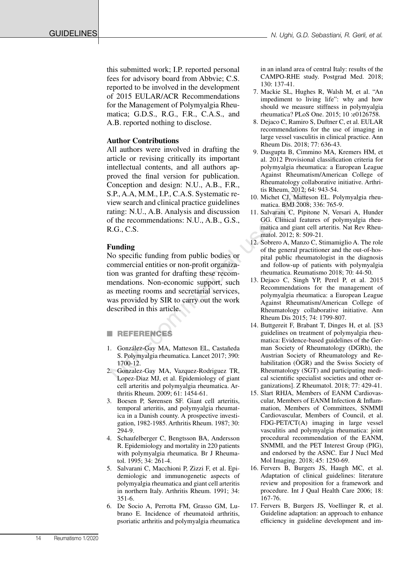GUIDELINES

this submitted work; I.P. reported personal fees for advisory board from Abbvie; C.S. reported to be involved in the development of 2015 EULAR/ACR Recommendations for the Management of Polymyalgia Rheumatica; G.D.S., R.G., F.R., C.A.S., and A.B. reported nothing to disclose.

#### **Author Contributions**

All authors were involved in drafting the article or revising critically its important intellectual contents, and all authors approved the final version for publication. Conception and design: N.U., A.B., F.R., S.P., A.A, M.M., I.P., C.A.S. Systematic review search and clinical practice guidelines rating: N.U., A.B. Analysis and discussion of the recommendations: N.U., A.B., G.S., R.G., C.S.

#### **Funding**

No specific funding from public bodies or commercial entities or non-profit organization was granted for drafting these recommendations. Non-economic support, such as meeting rooms and secretarial services, was provided by SIR to carry out the work described in this article. Conception and easign: No. U., A.B., F.A., F.A., T.A., T.A., T.A., T.A., T.A., T.A., T.A., T.A., T.A., T.A., T.A., T.A., T.A., T.A., T.A., T.A., T.A., T.A., T.A., T.A., T.A., T.A., T.A., T.A., A.B., G.S., GG. Clinical frac

### **REFERENCES**

- 1. González-Gay MA, Matteson EL, Castañeda S. Polymyalgia rheumatica. Lancet 2017; 390: 1700-12.
- 2. Gonzalez-Gay MA, Vazquez-Rodriguez TR, Lopez-Diaz MJ, et al. Epidemiology of giant cell arteritis and polymyalgia rheumatica. Arthritis Rheum. 2009; 61: 1454-61.
- 3. Boesen P, Sørensen SF. Giant cell arteritis, temporal arteritis, and polymyalgia rheumatica in a Danish county. A prospective investigation, 1982-1985. Arthritis Rheum. 1987; 30: 294-9.
- 4. Schaufelberger C, Bengtsson BA, Andersson R. Epidemiology and mortality in 220 patients with polymyalgia rheumatica. Br J Rheumatol. 1995; 34: 261-4.
- 5. Salvarani C, Macchioni P, Zizzi F, et al. Epidemiologic and immunogenetic aspects of polymyalgia rheumatica and giant cell arteritis in northern Italy. Arthritis Rheum. 1991; 34: 351-6.
- 6. De Socio A, Perrotta FM, Grasso GM, Lubrano E. Incidence of rheumatoid arthritis, psoriatic arthritis and polymyalgia rheumatica

in an inland area of central Italy: results of the CAMPO-RHE study. Postgrad Med. 2018; 130: 137-41.

- 7. Mackie SL, Hughes R, Walsh M, et al. "An impediment to living life": why and how should we measure stiffness in polymyalgia rheumatica? PLoS One. 2015; 10 :e0126758.
- 8. Dejaco C, Ramiro S, Duftner C, et al. EULAR recommendations for the use of imaging in large vessel vasculitis in clinical practice. Ann Rheum Dis. 2018; 77: 636-43.
- 9. Dasgupta B, Cimmino MA, Kremers HM, et al. 2012 Provisional classification criteria for polymyalgia rheumatica: a European League Against Rheumatism/American College of Rheumatology collaborative initiative. Arthritis Rheum. 2012; 64: 943-54.
- 10. Michet CJ, Matteson EL. Polymyalgia rheumatica. BMJ 2008; 336: 765-9.
- 11. Salvarani C, Pipitone N, Versari A, Hunder GG. Clinical features of polymyalgia rheumatica and giant cell arteritis. Nat Rev Rheumatol. 2012; 8: 509-21.
- 12. Sobrero A, Manzo C, Stimamiglio A. The role of the general practitioner and the out-of-hospital public rheumatologist in the diagnosis and follow-up of patients with polymyalgia rheumatica. Reumatismo 2018; 70: 44-50.
	- 13. Dejaco C, Singh YP, Perel P, et al. 2015 Recommendations for the management of polymyalgia rheumatica: a European League Against Rheumatism/American College of Rheumatology collaborative initiative. Ann Rheum Dis 2015; 74: 1799-807.
- 14. Buttgereit F, Brabant T, Dinges H, et al. [S3 guidelines on treatment of polymyalgia rheumatica: Evidence-based guidelines of the German Society of Rheumatology (DGRh), the Austrian Society of Rheumatology and Rehabilitation (ÖGR) and the Swiss Society of Rheumatology (SGT) and participating medical scientific specialist societies and other organizations]. Z Rheumatol. 2018; 77: 429-41.
- 15. Slart RHJA, Members of EANM Cardiovascular, Members of EANM Infection & Inflammation, Members of Committees, SNMMI Cardiovascular, Members of Council, et al. FDG-PET/CT(A) imaging in large vessel vasculitis and polymyalgia rheumatica: joint procedural recommendation of the EANM, SNMMI, and the PET Interest Group (PIG), and endorsed by the ASNC. Eur J Nucl Med Mol Imaging. 2018; 45: 1250-69.
- 16. Fervers B, Burgers JS, Haugh MC, et al. Adaptation of clinical guidelines: literature review and proposition for a framework and procedure. Int J Qual Health Care 2006; 18: 167-76.
- 17. Fervers B, Burgers JS, Voellinger R, et al. Guideline adaptation: an approach to enhance efficiency in guideline development and im-